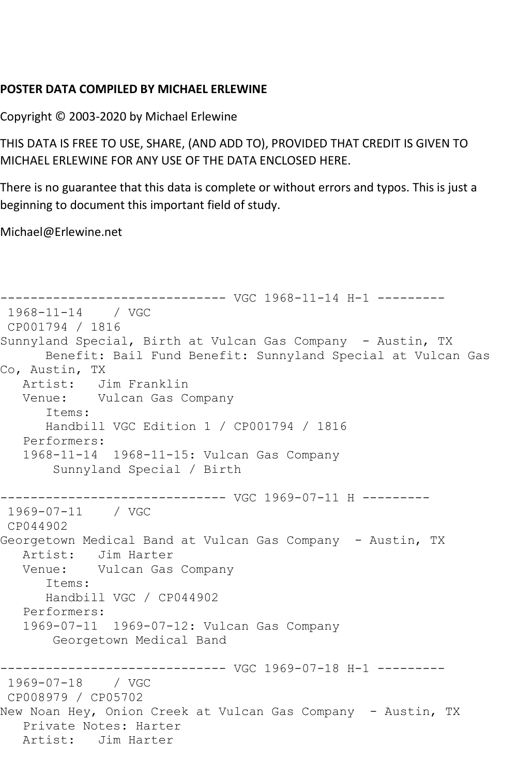## **POSTER DATA COMPILED BY MICHAEL ERLEWINE**

Copyright © 2003-2020 by Michael Erlewine

THIS DATA IS FREE TO USE, SHARE, (AND ADD TO), PROVIDED THAT CREDIT IS GIVEN TO MICHAEL ERLEWINE FOR ANY USE OF THE DATA ENCLOSED HERE.

There is no guarantee that this data is complete or without errors and typos. This is just a beginning to document this important field of study.

Michael@Erlewine.net

```
------------------------------ VGC 1968-11-14 H-1 ---------
1968-11-14 / VGC 
CP001794 / 1816
Sunnyland Special, Birth at Vulcan Gas Company - Austin, TX
      Benefit: Bail Fund Benefit: Sunnyland Special at Vulcan Gas 
Co, Austin, TX
   Artist: Jim Franklin
   Venue: Vulcan Gas Company
      Items:
      Handbill VGC Edition 1 / CP001794 / 1816
   Performers:
   1968-11-14 1968-11-15: Vulcan Gas Company
       Sunnyland Special / Birth
------------------------------ VGC 1969-07-11 H ---------
1969-07-11 / VGC 
CP044902
Georgetown Medical Band at Vulcan Gas Company - Austin, TX
   Artist: Jim Harter
   Venue: Vulcan Gas Company
      Items:
      Handbill VGC / CP044902
   Performers:
   1969-07-11 1969-07-12: Vulcan Gas Company
       Georgetown Medical Band
------------------------------ VGC 1969-07-18 H-1 ---------
1969-07-18 / VGC 
CP008979 / CP05702
New Noan Hey, Onion Creek at Vulcan Gas Company - Austin, TX
   Private Notes: Harter
   Artist: Jim Harter
```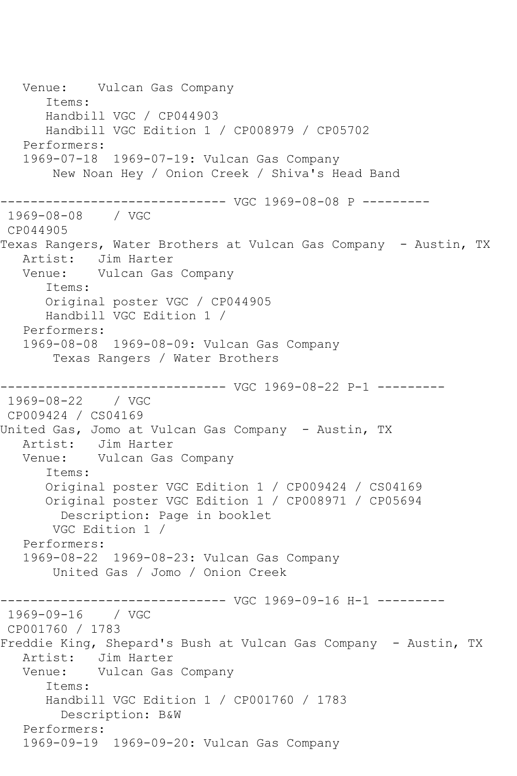Venue: Vulcan Gas Company Items: Handbill VGC / CP044903 Handbill VGC Edition 1 / CP008979 / CP05702 Performers: 1969-07-18 1969-07-19: Vulcan Gas Company New Noan Hey / Onion Creek / Shiva's Head Band ------------------------------ VGC 1969-08-08 P --------- 1969-08-08 / VGC CP044905 Texas Rangers, Water Brothers at Vulcan Gas Company - Austin, TX Artist: Jim Harter Venue: Vulcan Gas Company Items: Original poster VGC / CP044905 Handbill VGC Edition 1 / Performers: 1969-08-08 1969-08-09: Vulcan Gas Company Texas Rangers / Water Brothers ------------------------------ VGC 1969-08-22 P-1 --------- 1969-08-22 / VGC CP009424 / CS04169 United Gas, Jomo at Vulcan Gas Company - Austin, TX Artist: Jim Harter Venue: Vulcan Gas Company Items: Original poster VGC Edition 1 / CP009424 / CS04169 Original poster VGC Edition 1 / CP008971 / CP05694 Description: Page in booklet VGC Edition 1 / Performers: 1969-08-22 1969-08-23: Vulcan Gas Company United Gas / Jomo / Onion Creek ------------------------------ VGC 1969-09-16 H-1 --------- 1969-09-16 / VGC CP001760 / 1783 Freddie King, Shepard's Bush at Vulcan Gas Company - Austin, TX Artist: Jim Harter Venue: Vulcan Gas Company Items: Handbill VGC Edition 1 / CP001760 / 1783 Description: B&W Performers: 1969-09-19 1969-09-20: Vulcan Gas Company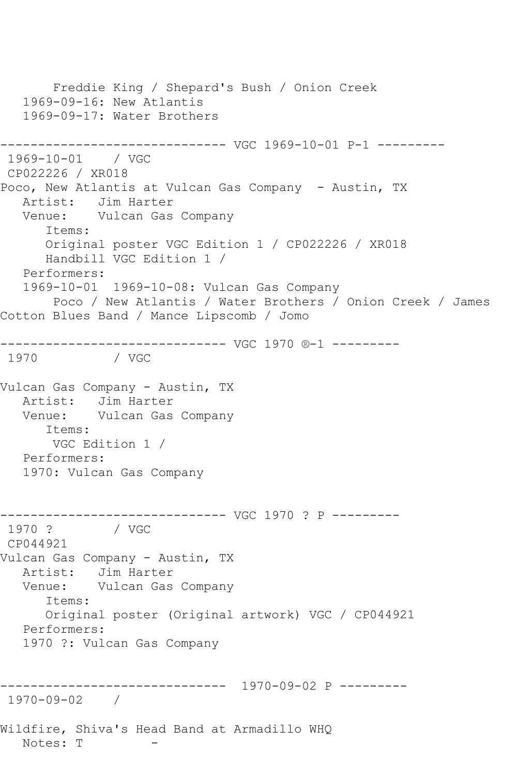Freddie King / Shepard's Bush / Onion Creek 1969-09-16: New Atlantis 1969-09-17: Water Brothers ------------------------------ VGC 1969-10-01 P-1 --------- 1969-10-01 / VGC CP022226 / XR018 Poco, New Atlantis at Vulcan Gas Company - Austin, TX Artist: Jim Harter Venue: Vulcan Gas Company Items: Original poster VGC Edition 1 / CP022226 / XR018 Handbill VGC Edition 1 / Performers: 1969-10-01 1969-10-08: Vulcan Gas Company Poco / New Atlantis / Water Brothers / Onion Creek / James Cotton Blues Band / Mance Lipscomb / Jomo ------------------------------ VGC 1970 ®-1 --------- 1970 / VGC Vulcan Gas Company - Austin, TX Artist: Jim Harter Venue: Vulcan Gas Company Items: VGC Edition 1 / Performers: 1970: Vulcan Gas Company ------------------------------ VGC 1970 ? P --------- / VGC CP044921 Vulcan Gas Company - Austin, TX Artist: Jim Harter Venue: Vulcan Gas Company Items: Original poster (Original artwork) VGC / CP044921 Performers: 1970 ?: Vulcan Gas Company ------------------------------ 1970-09-02 P --------- 1970-09-02 / Wildfire, Shiva's Head Band at Armadillo WHQ Notes: T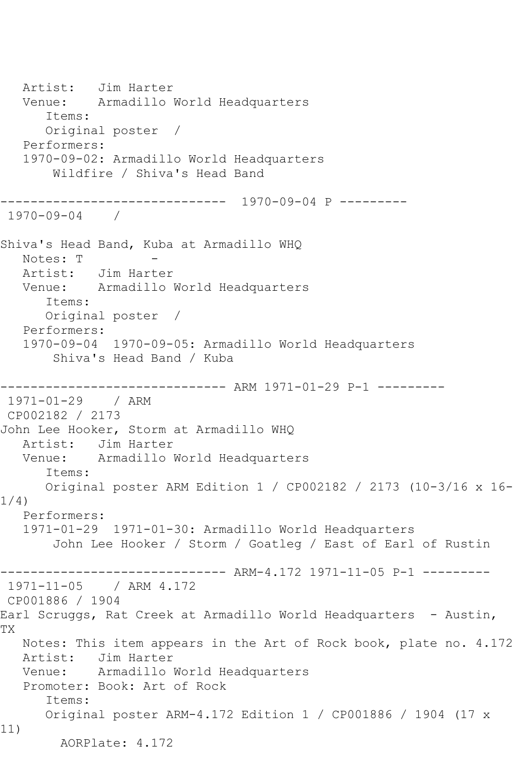Artist: Jim Harter Venue: Armadillo World Headquarters Items: Original poster / Performers: 1970-09-02: Armadillo World Headquarters Wildfire / Shiva's Head Band ------------------------------ 1970-09-04 P --------- 1970-09-04 / Shiva's Head Band, Kuba at Armadillo WHQ Notes: T Artist: Jim Harter Venue: Armadillo World Headquarters Items: Original poster / Performers: 1970-09-04 1970-09-05: Armadillo World Headquarters Shiva's Head Band / Kuba ------------------------------ ARM 1971-01-29 P-1 --------- 1971-01-29 / ARM CP002182 / 2173 John Lee Hooker, Storm at Armadillo WHQ Artist: Jim Harter Venue: Armadillo World Headquarters Items: Original poster ARM Edition 1 / CP002182 / 2173 (10-3/16 x 16- 1/4) Performers: 1971-01-29 1971-01-30: Armadillo World Headquarters John Lee Hooker / Storm / Goatleg / East of Earl of Rustin ------------------------------ ARM-4.172 1971-11-05 P-1 --------- 1971-11-05 / ARM 4.172 CP001886 / 1904 Earl Scruggs, Rat Creek at Armadillo World Headquarters - Austin, TX Notes: This item appears in the Art of Rock book, plate no. 4.172 Artist: Jim Harter Venue: Armadillo World Headquarters Promoter: Book: Art of Rock Items: Original poster ARM-4.172 Edition 1 / CP001886 / 1904 (17 x 11) AORPlate: 4.172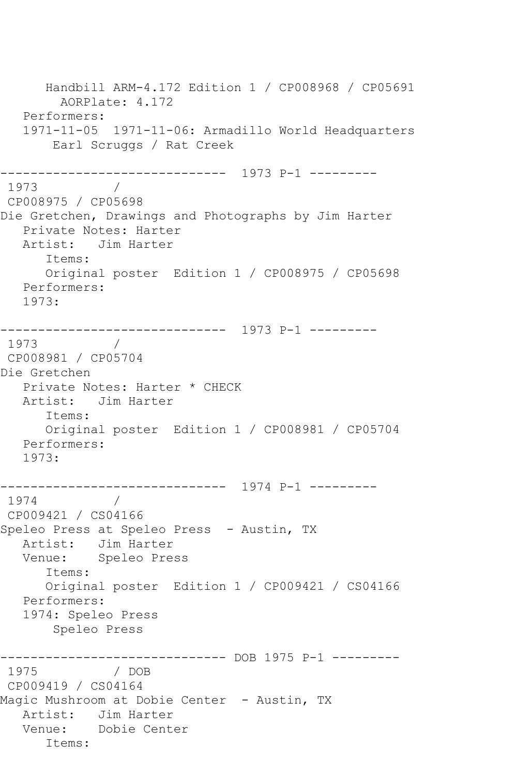Handbill ARM-4.172 Edition 1 / CP008968 / CP05691 AORPlate: 4.172 Performers: 1971-11-05 1971-11-06: Armadillo World Headquarters Earl Scruggs / Rat Creek ------------------------------ 1973 P-1 --------- 1973 / CP008975 / CP05698 Die Gretchen, Drawings and Photographs by Jim Harter Private Notes: Harter Artist: Jim Harter Items: Original poster Edition 1 / CP008975 / CP05698 Performers: 1973: ------------------------------ 1973 P-1 --------- 1973 / CP008981 / CP05704 Die Gretchen Private Notes: Harter \* CHECK Artist: Jim Harter Items: Original poster Edition 1 / CP008981 / CP05704 Performers: 1973: ------------------------------ 1974 P-1 --------- 1974 / CP009421 / CS04166 Speleo Press at Speleo Press - Austin, TX Artist: Jim Harter<br>Venue: Speleo Pre: Speleo Press Items: Original poster Edition 1 / CP009421 / CS04166 Performers: 1974: Speleo Press Speleo Press ------------------------------ DOB 1975 P-1 --------- 1975 / DOB CP009419 / CS04164 Magic Mushroom at Dobie Center - Austin, TX Artist: Jim Harter Venue: Dobie Center Items: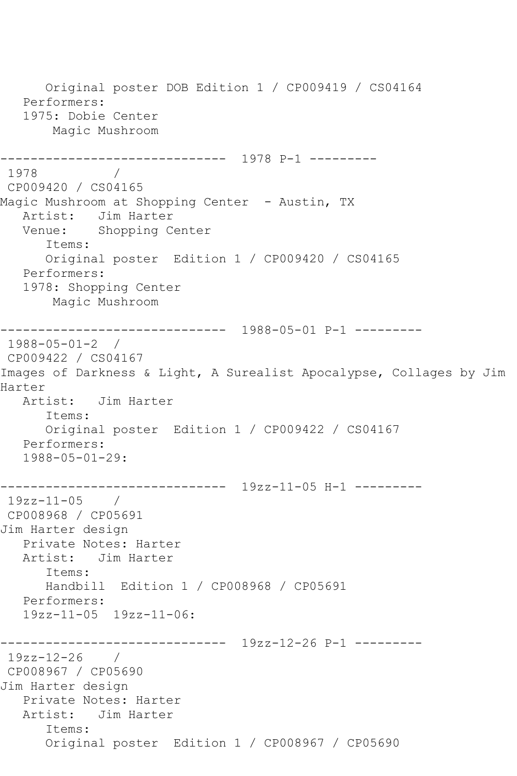Original poster DOB Edition 1 / CP009419 / CS04164 Performers: 1975: Dobie Center Magic Mushroom ------------------------------ 1978 P-1 --------- 1978 CP009420 / CS04165 Magic Mushroom at Shopping Center - Austin, TX Artist: Jim Harter<br>Venue: Shopping Co Shopping Center Items: Original poster Edition 1 / CP009420 / CS04165 Performers: 1978: Shopping Center Magic Mushroom ------------------------------ 1988-05-01 P-1 --------- 1988-05-01-2 / CP009422 / CS04167 Images of Darkness & Light, A Surealist Apocalypse, Collages by Jim Harter Artist: Jim Harter Items: Original poster Edition 1 / CP009422 / CS04167 Performers: 1988-05-01-29: ------------------------------ 19zz-11-05 H-1 --------- 19zz-11-05 / CP008968 / CP05691 Jim Harter design Private Notes: Harter Artist: Jim Harter Items: Handbill Edition 1 / CP008968 / CP05691 Performers: 19zz-11-05 19zz-11-06: ------------------------------ 19zz-12-26 P-1 --------- 19zz-12-26 / CP008967 / CP05690 Jim Harter design Private Notes: Harter Artist: Jim Harter Items: Original poster Edition 1 / CP008967 / CP05690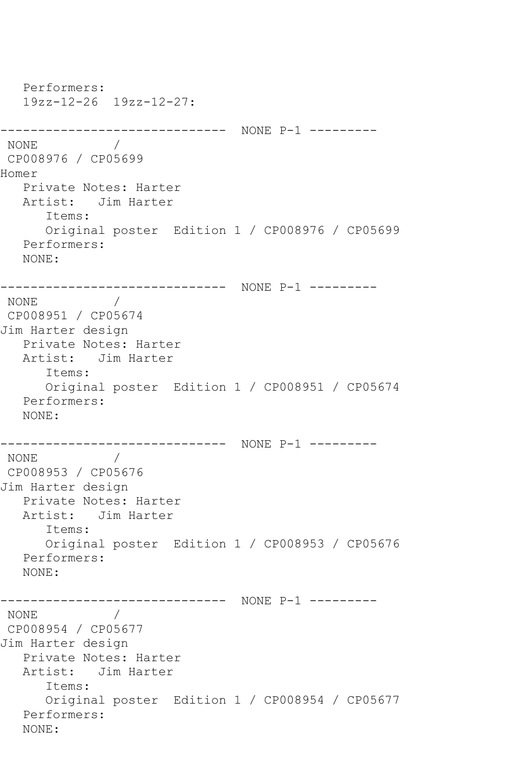```
 Performers:
   19zz-12-26 19zz-12-27:
------------------------------ NONE P-1 ---------
NONE / 
CP008976 / CP05699
Homer
   Private Notes: Harter
   Artist: Jim Harter
      Items:
      Original poster Edition 1 / CP008976 / CP05699
   Performers:
   NONE:
------------------------------ NONE P-1 ---------
NONE / 
CP008951 / CP05674
Jim Harter design
   Private Notes: Harter
   Artist: Jim Harter
      Items:
      Original poster Edition 1 / CP008951 / CP05674
   Performers:
   NONE:
------------------------------ NONE P-1 ---------
NONE / 
CP008953 / CP05676
Jim Harter design
   Private Notes: Harter
   Artist: Jim Harter
      Items:
      Original poster Edition 1 / CP008953 / CP05676
   Performers:
   NONE:
------------------------------ NONE P-1 ---------
NONE / 
CP008954 / CP05677
Jim Harter design
   Private Notes: Harter
   Artist: Jim Harter
      Items:
      Original poster Edition 1 / CP008954 / CP05677
   Performers:
   NONE:
```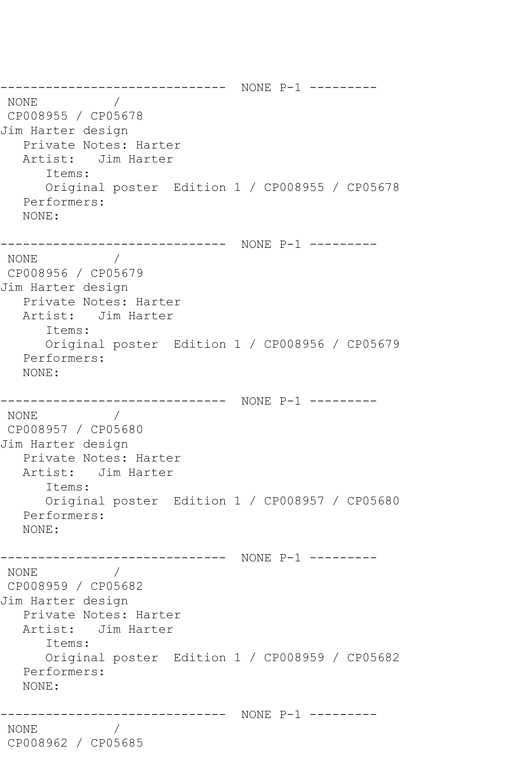------------------------------ NONE P-1 --------- NONE / CP008955 / CP05678 Jim Harter design Private Notes: Harter Artist: Jim Harter Items: Original poster Edition 1 / CP008955 / CP05678 Performers: NONE: ------------------------------ NONE P-1 --------- NONE / CP008956 / CP05679 Jim Harter design Private Notes: Harter Artist: Jim Harter Items: Original poster Edition 1 / CP008956 / CP05679 Performers: NONE: ------------------------------ NONE P-1 ---------  $\text{NONE}$ CP008957 / CP05680 Jim Harter design Private Notes: Harter Artist: Jim Harter Items: Original poster Edition 1 / CP008957 / CP05680 Performers: NONE: ------------------------------ NONE P-1 --------- NONE / CP008959 / CP05682 Jim Harter design Private Notes: Harter Artist: Jim Harter Items: Original poster Edition 1 / CP008959 / CP05682 Performers: NONE: ------------------------------ NONE P-1 --------- NONE / CP008962 / CP05685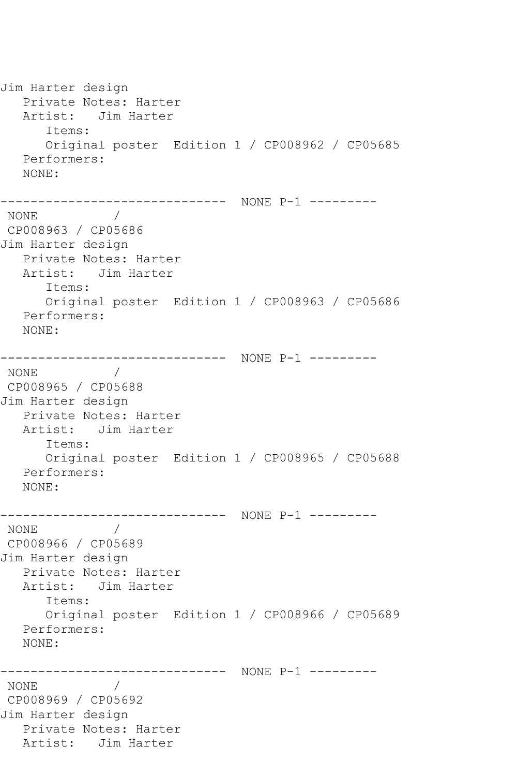Jim Harter design Private Notes: Harter Artist: Jim Harter Items: Original poster Edition 1 / CP008962 / CP05685 Performers: NONE: ------------------------------ NONE P-1 --------- NONE / CP008963 / CP05686 Jim Harter design Private Notes: Harter Artist: Jim Harter Items: Original poster Edition 1 / CP008963 / CP05686 Performers: NONE: ------------------------------ NONE P-1 --------- NONE / CP008965 / CP05688 Jim Harter design Private Notes: Harter Artist: Jim Harter Items: Original poster Edition 1 / CP008965 / CP05688 Performers: NONE: ------------------------------ NONE P-1 --------- NONE / CP008966 / CP05689 Jim Harter design Private Notes: Harter Artist: Jim Harter Items: Original poster Edition 1 / CP008966 / CP05689 Performers: NONE: ------------------------------ NONE P-1 --------- NONE / CP008969 / CP05692 Jim Harter design Private Notes: Harter Artist: Jim Harter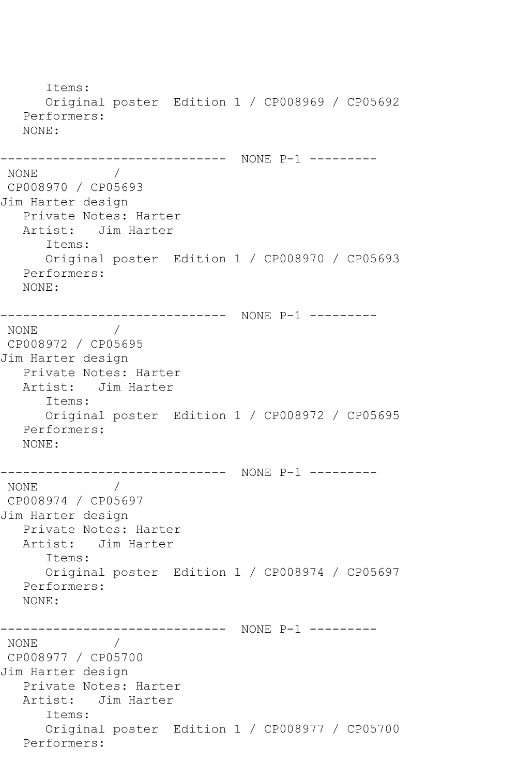Items: Original poster Edition 1 / CP008969 / CP05692 Performers: NONE: ------------------------------ NONE P-1 ---------  $\frac{1}{2}$ CP008970 / CP05693 Jim Harter design Private Notes: Harter Artist: Jim Harter Items: Original poster Edition 1 / CP008970 / CP05693 Performers: NONE: ------------------------------ NONE P-1 --------- NONE / CP008972 / CP05695 Jim Harter design Private Notes: Harter Artist: Jim Harter Items: Original poster Edition 1 / CP008972 / CP05695 Performers: NONE: ------------------------------ NONE P-1 --------- NONE / CP008974 / CP05697 Jim Harter design Private Notes: Harter Artist: Jim Harter Items: Original poster Edition 1 / CP008974 / CP05697 Performers: NONE: ------------------------------ NONE P-1 --------- NONE / CP008977 / CP05700 Jim Harter design Private Notes: Harter Artist: Jim Harter Items: Original poster Edition 1 / CP008977 / CP05700 Performers: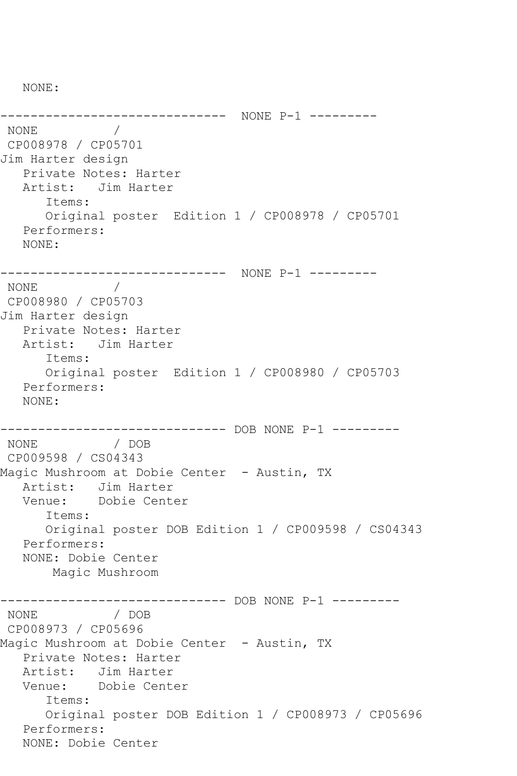NONE:

------------------------------ NONE P-1 ---------  $\overline{\phantom{a}}$ CP008978 / CP05701 Jim Harter design Private Notes: Harter Artist: Jim Harter Items: Original poster Edition 1 / CP008978 / CP05701 Performers: NONE: ------------------------------ NONE P-1 --------- NONE / CP008980 / CP05703 Jim Harter design Private Notes: Harter Artist: Jim Harter Items: Original poster Edition 1 / CP008980 / CP05703 Performers: NONE: ------------------------------ DOB NONE P-1 --------- NONE / DOB CP009598 / CS04343 Magic Mushroom at Dobie Center - Austin, TX Artist: Jim Harter Venue: Dobie Center Items: Original poster DOB Edition 1 / CP009598 / CS04343 Performers: NONE: Dobie Center Magic Mushroom ------------------------------ DOB NONE P-1 --------- NONE CP008973 / CP05696 Magic Mushroom at Dobie Center - Austin, TX Private Notes: Harter Artist: Jim Harter Venue: Dobie Center Items: Original poster DOB Edition 1 / CP008973 / CP05696 Performers: NONE: Dobie Center